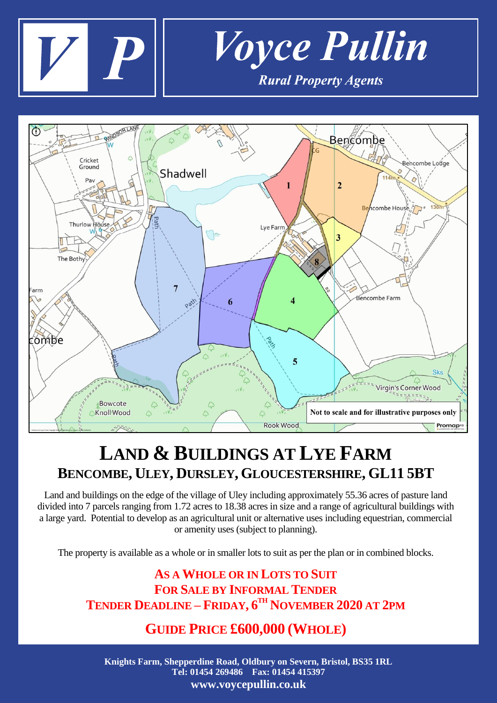



## **LAND & BUILDINGS AT LYE FARM BENCOMBE, ULEY, DURSLEY, GLOUCESTERSHIRE, GL11 5BT**

Land and buildings on the edge of the village of Uley including approximately 55.36 acres of pasture land divided into 7 parcels ranging from 1.72 acres to 18.38 acres in size and a range of agricultural buildings with a large yard. Potential to develop as an agricultural unit or alternative uses including equestrian, commercial or amenity uses (subject to planning).

The property is available as a whole or in smaller lots to suit as per the plan or in combined blocks.

## **AS A WHOLE OR IN LOTS TO SUIT FOR SALE BY INFORMAL TENDER TENDER DEADLINE – FRIDAY, 6 TH NOVEMBER 2020 AT 2PM**

## **GUIDE PRICE £600,000 (WHOLE)**

**Knights Farm, Shepperdine Road, Oldbury on Severn, Bristol, BS35 1RL Tel: 01454 269486 Fax: 01454 415397 www.voycepullin.co.uk**